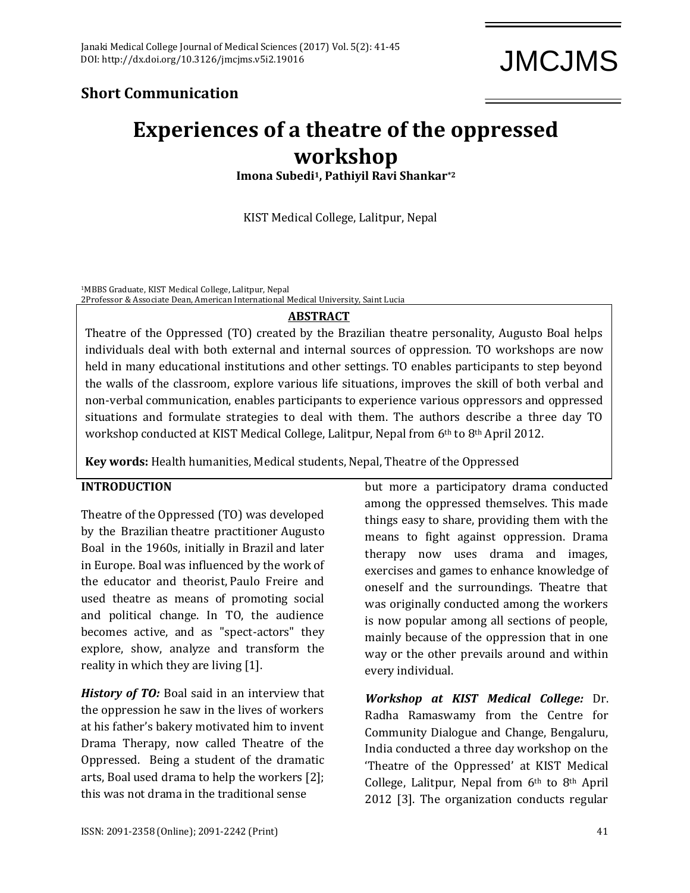JMCJMS

## **Short Communication**

# **Experiences of a theatre of the oppressed workshop**

**Imona Subedi1, Pathiyil Ravi Shankar\*2**

KIST Medical College, Lalitpur, Nepal

<sup>1</sup>MBBS Graduate, KIST Medical College, Lalitpur, Nepal

2Professor & Associate Dean, American International Medical University, Saint Lucia

### **ABSTRACT**

Theatre of the Oppressed (TO) created by the Brazilian theatre personality, Augusto Boal helps individuals deal with both external and internal sources of oppression. TO workshops are now held in many educational institutions and other settings. TO enables participants to step beyond the walls of the classroom, explore various life situations, improves the skill of both verbal and non-verbal communication, enables participants to experience various oppressors and oppressed situations and formulate strategies to deal with them. The authors describe a three day TO workshop conducted at KIST Medical College, Lalitpur, Nepal from 6th to 8th April 2012.

**Key words:** Health humanities, Medical students, Nepal, Theatre of the Oppressed

#### **INTRODUCTION**

Theatre of the Oppressed (TO) was developed by the Brazilian [theatre practitioner](http://en.wikipedia.org/wiki/Theatre_practitioner) [Augusto](http://en.wikipedia.org/wiki/Augusto_Boal)  [Boal](http://en.wikipedia.org/wiki/Augusto_Boal) in the 1960s, initially in [Brazil](http://en.wikipedia.org/wiki/Brazil) and later in [Europe.](http://en.wikipedia.org/wiki/Europe) Boal was influenced by the work of the educator and theorist, [Paulo Freire](http://en.wikipedia.org/wiki/Paulo_Freire) and used theatre as means of promoting social and political change. In TO, the audience becomes active, and as "spect-actors" they explore, show, analyze and transform the reality in which they are living [1].

*History of TO:* Boal said in an interview that the oppression he saw in the lives of workers at his father's bakery motivated him to invent Drama Therapy, now called Theatre of the Oppressed. Being a student of the dramatic arts, Boal used drama to help the workers [2]; this was not drama in the traditional sense

but more a participatory drama conducted among the oppressed themselves. This made things easy to share, providing them with the means to fight against oppression. Drama therapy now uses drama and images, exercises and games to enhance knowledge of oneself and the surroundings. Theatre that was originally conducted among the workers is now popular among all sections of people, mainly because of the oppression that in one way or the other prevails around and within every individual.

*Workshop at KIST Medical College:* Dr. Radha Ramaswamy from the Centre for Community Dialogue and Change, Bengaluru, India conducted a three day workshop on the 'Theatre of the Oppressed' at KIST Medical College, Lalitpur, Nepal from 6th to 8th April 2012 [3]. The organization conducts regular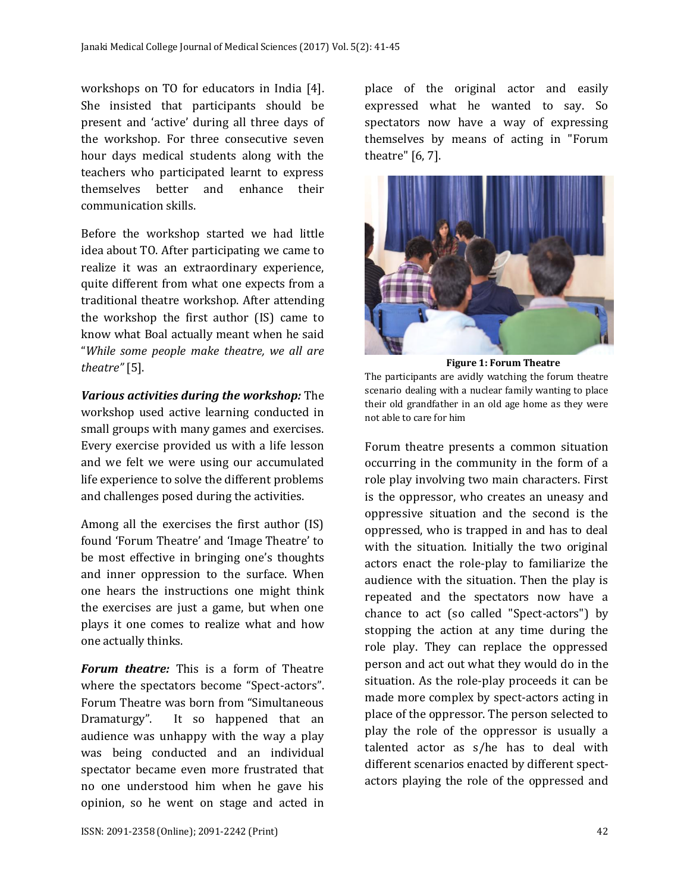workshops on TO for educators in India [4]. She insisted that participants should be present and 'active' during all three days of the workshop. For three consecutive seven hour days medical students along with the teachers who participated learnt to express themselves better and enhance their communication skills.

Before the workshop started we had little idea about TO. After participating we came to realize it was an extraordinary experience, quite different from what one expects from a traditional theatre workshop. After attending the workshop the first author (IS) came to know what Boal actually meant when he said "*While some people make theatre, we all are theatre"* [5].

*Various activities during the workshop:* The workshop used active learning conducted in small groups with many games and exercises. Every exercise provided us with a life lesson and we felt we were using our accumulated life experience to solve the different problems and challenges posed during the activities.

Among all the exercises the first author (IS) found 'Forum Theatre' and 'Image Theatre' to be most effective in bringing one's thoughts and inner oppression to the surface. When one hears the instructions one might think the exercises are just a game, but when one plays it one comes to realize what and how one actually thinks.

*Forum theatre:* This is a form of Theatre where the spectators become "Spect-actors". Forum Theatre was born from "Simultaneous Dramaturgy". It so happened that an audience was unhappy with the way a play was being conducted and an individual spectator became even more frustrated that no one understood him when he gave his opinion, so he went on stage and acted in place of the original actor and easily expressed what he wanted to say. So spectators now have a way of expressing themselves by means of acting in "Forum theatre" [6, 7].



**Figure 1: Forum Theatre** The participants are avidly watching the forum theatre scenario dealing with a nuclear family wanting to place their old grandfather in an old age home as they were not able to care for him

Forum theatre presents a common situation occurring in the community in the form of a role play involving two main characters. First is the oppressor, who creates an uneasy and oppressive situation and the second is the oppressed, who is trapped in and has to deal with the situation. Initially the two original actors enact the role-play to familiarize the audience with the situation. Then the play is repeated and the spectators now have a chance to act (so called "Spect-actors") by stopping the action at any time during the role play. They can replace the oppressed person and act out what they would do in the situation. As the role-play proceeds it can be made more complex by spect-actors acting in place of the oppressor. The person selected to play the role of the oppressor is usually a talented actor as s/he has to deal with different scenarios enacted by different spectactors playing the role of the oppressed and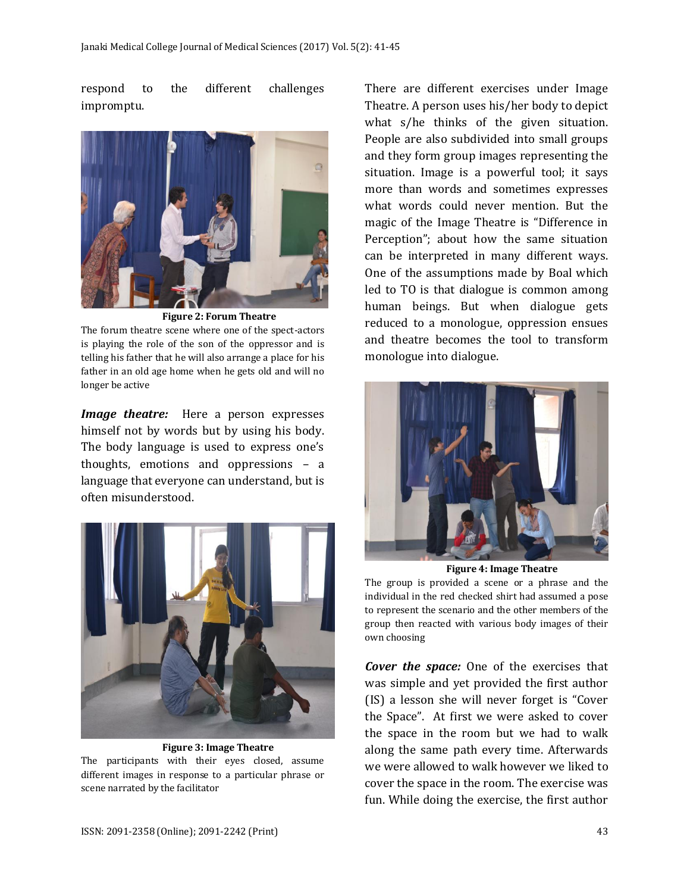respond to the different challenges impromptu.



The forum theatre scene where one of the spect-actors is playing the role of the son of the oppressor and is telling his father that he will also arrange a place for his father in an old age home when he gets old and will no longer be active

*Image theatre:* Here a person expresses himself not by words but by using his body. The body language is used to express one's thoughts, emotions and oppressions – a language that everyone can understand, but is often misunderstood.



**Figure 3: Image Theatre**

The participants with their eyes closed, assume different images in response to a particular phrase or scene narrated by the facilitator

There are different exercises under Image Theatre. A person uses his/her body to depict what s/he thinks of the given situation. People are also subdivided into small groups and they form group images representing the situation. Image is a powerful tool; it says more than words and sometimes expresses what words could never mention. But the magic of the Image Theatre is "Difference in Perception"; about how the same situation can be interpreted in many different ways. One of the assumptions made by Boal which led to TO is that dialogue is common among human beings. But when dialogue gets reduced to a monologue, oppression ensues and theatre becomes the tool to transform monologue into dialogue.



**Figure 4: Image Theatre**

The group is provided a scene or a phrase and the individual in the red checked shirt had assumed a pose to represent the scenario and the other members of the group then reacted with various body images of their own choosing

*Cover the space:* One of the exercises that was simple and yet provided the first author (IS) a lesson she will never forget is "Cover the Space". At first we were asked to cover the space in the room but we had to walk along the same path every time. Afterwards we were allowed to walk however we liked to cover the space in the room. The exercise was fun. While doing the exercise, the first author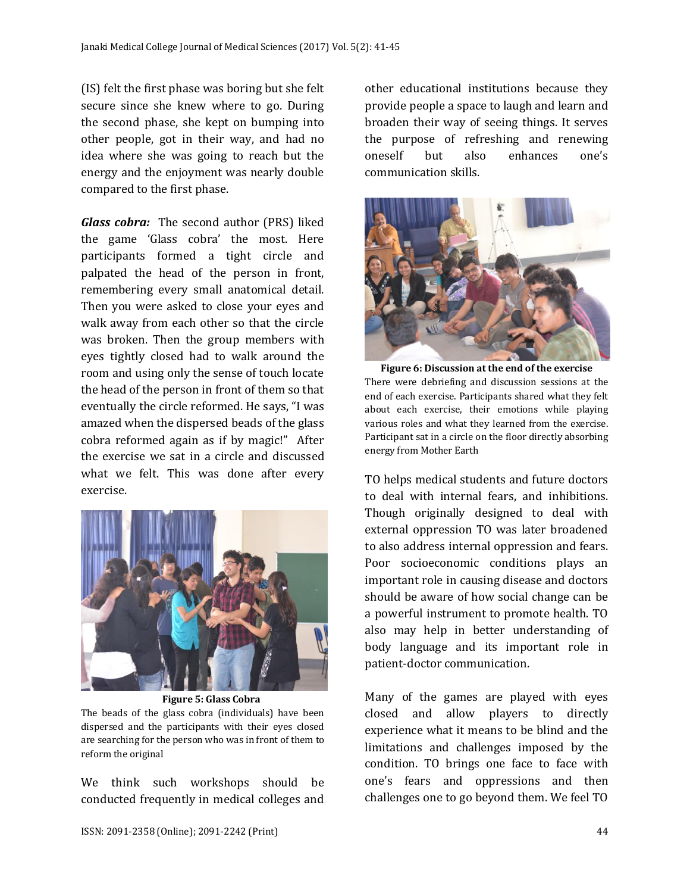(IS) felt the first phase was boring but she felt secure since she knew where to go. During the second phase, she kept on bumping into other people, got in their way, and had no idea where she was going to reach but the energy and the enjoyment was nearly double compared to the first phase.

*Glass cobra:* The second author (PRS) liked the game 'Glass cobra' the most. Here participants formed a tight circle and palpated the head of the person in front, remembering every small anatomical detail. Then you were asked to close your eyes and walk away from each other so that the circle was broken. Then the group members with eyes tightly closed had to walk around the room and using only the sense of touch locate the head of the person in front of them so that eventually the circle reformed. He says, "I was amazed when the dispersed beads of the glass cobra reformed again as if by magic!" After the exercise we sat in a circle and discussed what we felt. This was done after every exercise.



**Figure 5: Glass Cobra** The beads of the glass cobra (individuals) have been dispersed and the participants with their eyes closed are searching for the person who was in front of them to reform the original

We think such workshops should be conducted frequently in medical colleges and other educational institutions because they provide people a space to laugh and learn and broaden their way of seeing things. It serves the purpose of refreshing and renewing oneself but also enhances one's communication skills.



**Figure 6: Discussion at the end of the exercise** There were debriefing and discussion sessions at the end of each exercise. Participants shared what they felt about each exercise, their emotions while playing various roles and what they learned from the exercise. Participant sat in a circle on the floor directly absorbing energy from Mother Earth

TO helps medical students and future doctors to deal with internal fears, and inhibitions. Though originally designed to deal with external oppression TO was later broadened to also address internal oppression and fears. Poor socioeconomic conditions plays an important role in causing disease and doctors should be aware of how social change can be a powerful instrument to promote health. TO also may help in better understanding of body language and its important role in patient-doctor communication.

Many of the games are played with eyes closed and allow players to directly experience what it means to be blind and the limitations and challenges imposed by the condition. TO brings one face to face with one's fears and oppressions and then challenges one to go beyond them. We feel TO